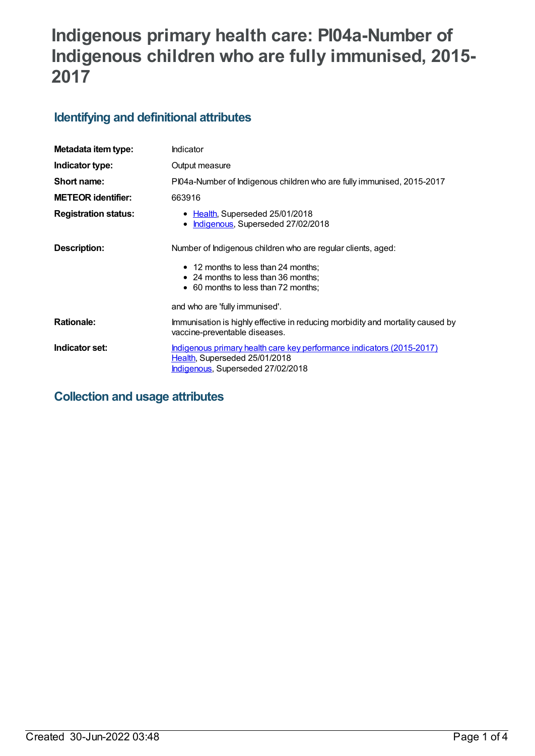# **Indigenous primary health care: PI04a-Number of Indigenous children who are fully immunised, 2015- 2017**

## **Identifying and definitional attributes**

| Metadata item type:         | Indicator                                                                                                                                                                                                           |
|-----------------------------|---------------------------------------------------------------------------------------------------------------------------------------------------------------------------------------------------------------------|
| Indicator type:             | Output measure                                                                                                                                                                                                      |
| Short name:                 | PI04a-Number of Indigenous children who are fully immunised, 2015-2017                                                                                                                                              |
| <b>METEOR identifier:</b>   | 663916                                                                                                                                                                                                              |
| <b>Registration status:</b> | • Health, Superseded 25/01/2018<br>Indigenous, Superseded 27/02/2018<br>$\bullet$                                                                                                                                   |
| Description:                | Number of Indigenous children who are regular clients, aged:<br>• 12 months to less than 24 months;<br>• 24 months to less than 36 months;<br>• 60 months to less than 72 months;<br>and who are 'fully immunised'. |
| <b>Rationale:</b>           | Immunisation is highly effective in reducing morbidity and mortality caused by                                                                                                                                      |
|                             | vaccine-preventable diseases.                                                                                                                                                                                       |
| Indicator set:              | Indigenous primary health care key performance indicators (2015-2017)<br>Health, Superseded 25/01/2018<br>Indigenous, Superseded 27/02/2018                                                                         |

**Collection and usage attributes**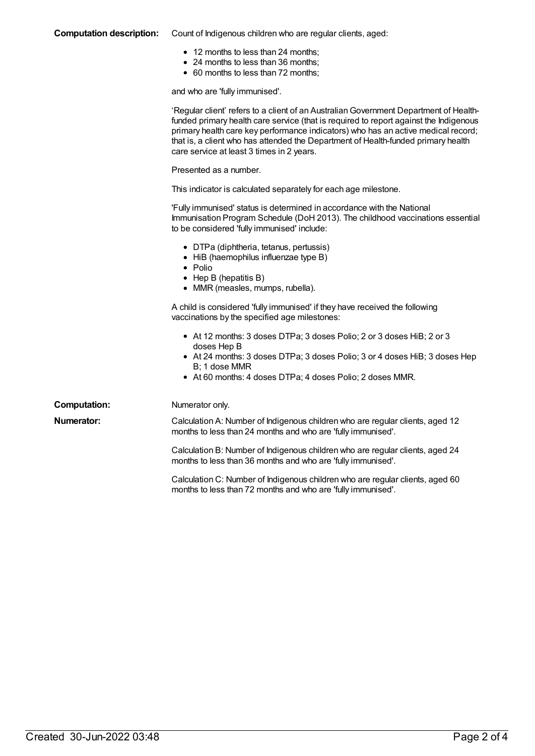#### **Computation description:** Count of Indigenous children who are regular clients, aged:

- 12 months to less than 24 months;
- 24 months to less than 36 months;
- 60 months to less than 72 months;

and who are 'fully immunised'.

|                     | 'Regular client' refers to a client of an Australian Government Department of Health-<br>funded primary health care service (that is required to report against the Indigenous<br>primary health care key performance indicators) who has an active medical record;<br>that is, a client who has attended the Department of Health-funded primary health<br>care service at least 3 times in 2 years. |
|---------------------|-------------------------------------------------------------------------------------------------------------------------------------------------------------------------------------------------------------------------------------------------------------------------------------------------------------------------------------------------------------------------------------------------------|
|                     | Presented as a number.                                                                                                                                                                                                                                                                                                                                                                                |
|                     | This indicator is calculated separately for each age milestone.                                                                                                                                                                                                                                                                                                                                       |
|                     | 'Fully immunised' status is determined in accordance with the National<br>Immunisation Program Schedule (DoH 2013). The childhood vaccinations essential<br>to be considered 'fully immunised' include:                                                                                                                                                                                               |
|                     | • DTPa (diphtheria, tetanus, pertussis)<br>• HiB (haemophilus influenzae type B)<br>• Polio<br>$\bullet$ Hep B (hepatitis B)<br>• MMR (measles, mumps, rubella).                                                                                                                                                                                                                                      |
|                     | A child is considered 'fully immunised' if they have received the following<br>vaccinations by the specified age milestones:                                                                                                                                                                                                                                                                          |
|                     | • At 12 months: 3 doses DTPa; 3 doses Polio; 2 or 3 doses HiB; 2 or 3<br>doses Hep B                                                                                                                                                                                                                                                                                                                  |
|                     | • At 24 months: 3 doses DTPa; 3 doses Polio; 3 or 4 doses HiB; 3 doses Hep<br>B; 1 dose MMR<br>• At 60 months: 4 doses DTPa; 4 doses Polio; 2 doses MMR.                                                                                                                                                                                                                                              |
| <b>Computation:</b> | Numerator only.                                                                                                                                                                                                                                                                                                                                                                                       |
| <b>Numerator:</b>   | Calculation A: Number of Indigenous children who are regular clients, aged 12<br>months to less than 24 months and who are 'fully immunised'.                                                                                                                                                                                                                                                         |
|                     | Calculation B: Number of Indigenous children who are regular clients, aged 24<br>months to less than 36 months and who are 'fully immunised'.                                                                                                                                                                                                                                                         |
|                     | Calculation C: Number of Indigenous children who are regular clients, aged 60<br>months to less than 72 months and who are 'fully immunised'.                                                                                                                                                                                                                                                         |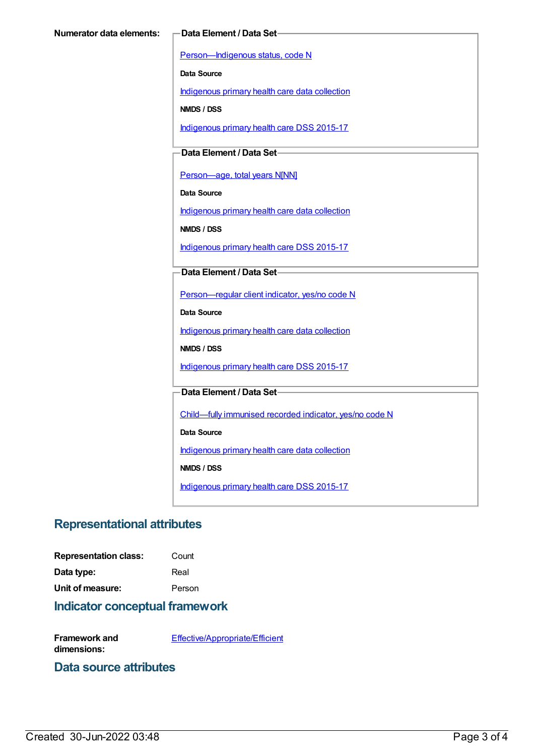[Person—Indigenous](https://meteor.aihw.gov.au/content/291036) status, code N

**Data Source**

[Indigenous](https://meteor.aihw.gov.au/content/430643) primary health care data collection

**NMDS / DSS**

[Indigenous](https://meteor.aihw.gov.au/content/585036) primary health care DSS 2015-17

**Data Element / Data Set**

[Person—age,](https://meteor.aihw.gov.au/content/303794) total years N[NN]

**Data Source**

[Indigenous](https://meteor.aihw.gov.au/content/430643) primary health care data collection

**NMDS / DSS**

[Indigenous](https://meteor.aihw.gov.au/content/585036) primary health care DSS 2015-17

#### **Data Element / Data Set**

[Person—regular](https://meteor.aihw.gov.au/content/436639) client indicator, yes/no code N

**Data Source**

[Indigenous](https://meteor.aihw.gov.au/content/430643) primary health care data collection

**NMDS / DSS**

[Indigenous](https://meteor.aihw.gov.au/content/585036) primary health care DSS 2015-17

**Data Element / Data Set**

[Child—fully](https://meteor.aihw.gov.au/content/457664) immunised recorded indicator, yes/no code N

**Data Source**

[Indigenous](https://meteor.aihw.gov.au/content/430643) primary health care data collection

**NMDS / DSS**

[Indigenous](https://meteor.aihw.gov.au/content/585036) primary health care DSS 2015-17

### **Representational attributes**

| <b>Representation class:</b> | Count |
|------------------------------|-------|
|                              |       |

**Data type:** Real **Unit of measure:** Person

#### **Indicator conceptual framework**

**Framework and dimensions:** [Effective/Appropriate/Efficient](https://meteor.aihw.gov.au/content/410681)

#### **Data source attributes**